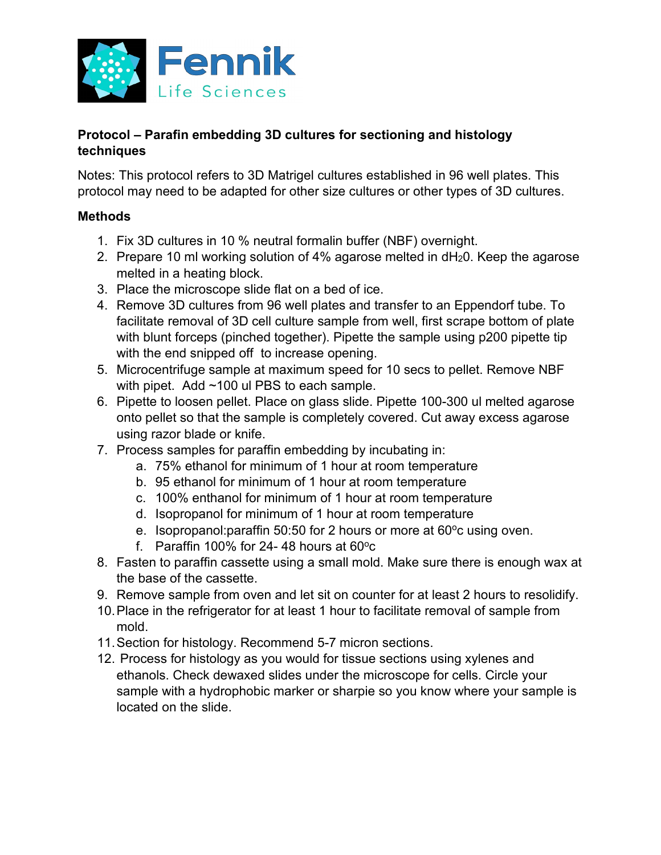

## **Protocol – Parafin embedding 3D cultures for sectioning and histology techniques**

Notes: This protocol refers to 3D Matrigel cultures established in 96 well plates. This protocol may need to be adapted for other size cultures or other types of 3D cultures.

## **Methods**

- 1. Fix 3D cultures in 10 % neutral formalin buffer (NBF) overnight.
- 2. Prepare 10 ml working solution of 4% agarose melted in dH<sub>2</sub>0. Keep the agarose melted in a heating block.
- 3. Place the microscope slide flat on a bed of ice.
- 4. Remove 3D cultures from 96 well plates and transfer to an Eppendorf tube. To facilitate removal of 3D cell culture sample from well, first scrape bottom of plate with blunt forceps (pinched together). Pipette the sample using p200 pipette tip with the end snipped off to increase opening.
- 5. Microcentrifuge sample at maximum speed for 10 secs to pellet. Remove NBF with pipet. Add ~100 ul PBS to each sample.
- 6. Pipette to loosen pellet. Place on glass slide. Pipette 100-300 ul melted agarose onto pellet so that the sample is completely covered. Cut away excess agarose using razor blade or knife.
- 7. Process samples for paraffin embedding by incubating in:
	- a. 75% ethanol for minimum of 1 hour at room temperature
	- b. 95 ethanol for minimum of 1 hour at room temperature
	- c. 100% enthanol for minimum of 1 hour at room temperature
	- d. Isopropanol for minimum of 1 hour at room temperature
	- e. Isopropanol: paraffin 50:50 for 2 hours or more at 60°c using oven.
	- f. Paraffin 100% for 24-48 hours at  $60^{\circ}$ c
- 8. Fasten to paraffin cassette using a small mold. Make sure there is enough wax at the base of the cassette.
- 9. Remove sample from oven and let sit on counter for at least 2 hours to resolidify.
- 10.Place in the refrigerator for at least 1 hour to facilitate removal of sample from mold.
- 11.Section for histology. Recommend 5-7 micron sections.
- 12. Process for histology as you would for tissue sections using xylenes and ethanols. Check dewaxed slides under the microscope for cells. Circle your sample with a hydrophobic marker or sharpie so you know where your sample is located on the slide.